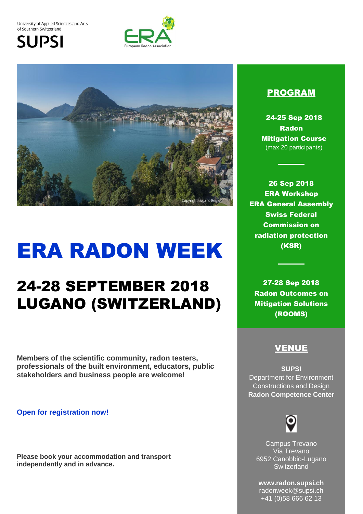University of Applied Sciences and Arts of Southern Switzerland

**SUPSI** 





# ERA RADON WEEK

## 24-28 SEPTEMBER 2018 LUGANO (SWITZERLAND)

**Members of the scientific community, radon testers, professionals of the built environment, educators, public stakeholders and business people are welcome!**

**Open for registration now!**

**Please book your accommodation and transport independently and in advance.**

#### PROGRAM

24-25 Sep 2018 Radon Mitigation Course (max 20 participants)

26 Sep 2018 ERA Workshop ERA General Assembly Swiss Federal Commission on radiation protection (KSR)

27-28 Sep 2018 Radon Outcomes on Mitigation Solutions (ROOMS)

### VENUE

**SUPSI** Department for Environment Constructions and Design **Radon Competence Center**



Campus Trevano Via Trevano 6952 Canobbio-Lugano **Switzerland** 

**www.radon.supsi.ch**  radonweek@supsi.ch +41 (0)58 666 62 13